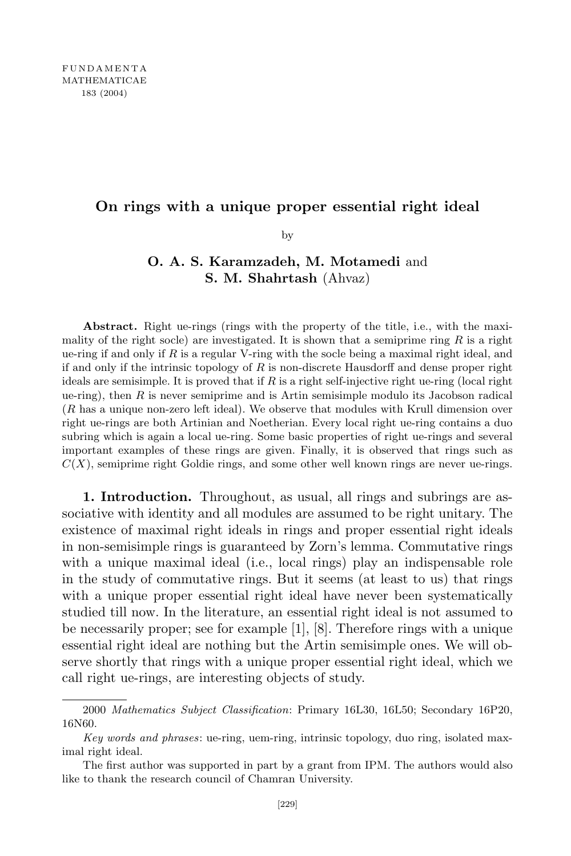## **On rings with a unique proper essential right ideal**

by

## **O. A. S. Karamzadeh, M. Motamedi** and **S. M. Shahrtash** (Ahvaz)

**Abstract.** Right ue-rings (rings with the property of the title, i.e., with the maximality of the right socle) are investigated. It is shown that a semiprime ring *R* is a right ue-ring if and only if *R* is a regular V-ring with the socle being a maximal right ideal, and if and only if the intrinsic topology of *R* is non-discrete Hausdorff and dense proper right ideals are semisimple. It is proved that if *R* is a right self-injective right ue-ring (local right ue-ring), then *R* is never semiprime and is Artin semisimple modulo its Jacobson radical (*R* has a unique non-zero left ideal). We observe that modules with Krull dimension over right ue-rings are both Artinian and Noetherian. Every local right ue-ring contains a duo subring which is again a local ue-ring. Some basic properties of right ue-rings and several important examples of these rings are given. Finally, it is observed that rings such as  $C(X)$ , semiprime right Goldie rings, and some other well known rings are never ue-rings.

**1. Introduction.** Throughout, as usual, all rings and subrings are associative with identity and all modules are assumed to be right unitary. The existence of maximal right ideals in rings and proper essential right ideals in non-semisimple rings is guaranteed by Zorn's lemma. Commutative rings with a unique maximal ideal (i.e., local rings) play an indispensable role in the study of commutative rings. But it seems (at least to us) that rings with a unique proper essential right ideal have never been systematically studied till now. In the literature, an essential right ideal is not assumed to be necessarily proper; see for example [1], [8]. Therefore rings with a unique essential right ideal are nothing but the Artin semisimple ones. We will observe shortly that rings with a unique proper essential right ideal, which we call right ue-rings, are interesting objects of study.

<sup>2000</sup> *Mathematics Subject Classification*: Primary 16L30, 16L50; Secondary 16P20, 16N60.

*Key words and phrases*: ue-ring, uem-ring, intrinsic topology, duo ring, isolated maximal right ideal.

The first author was supported in part by a grant from IPM. The authors would also like to thank the research council of Chamran University.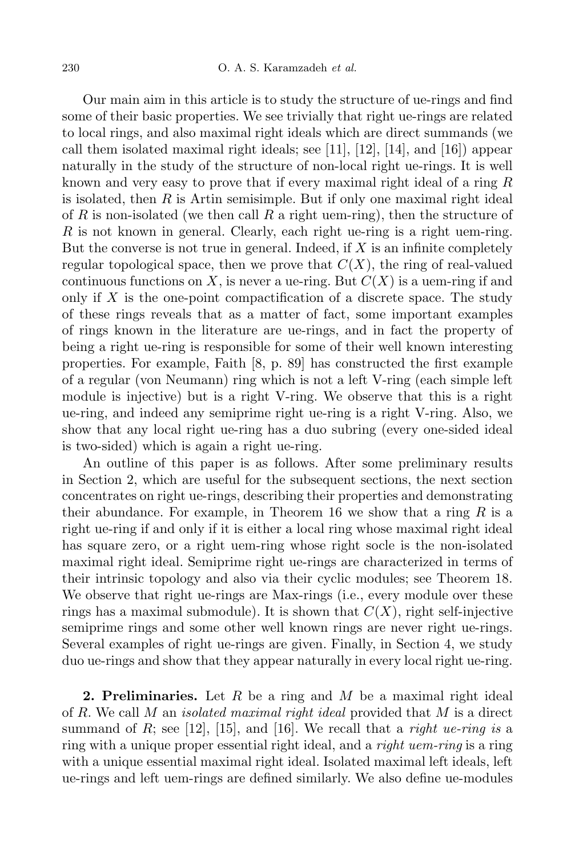Our main aim in this article is to study the structure of ue-rings and find some of their basic properties. We see trivially that right ue-rings are related to local rings, and also maximal right ideals which are direct summands (we call them isolated maximal right ideals; see [11], [12], [14], and [16]) appear naturally in the study of the structure of non-local right ue-rings. It is well known and very easy to prove that if every maximal right ideal of a ring *R* is isolated, then *R* is Artin semisimple. But if only one maximal right ideal of *R* is non-isolated (we then call *R* a right uem-ring), then the structure of *R* is not known in general. Clearly, each right ue-ring is a right uem-ring. But the converse is not true in general. Indeed, if *X* is an infinite completely regular topological space, then we prove that  $C(X)$ , the ring of real-valued continuous functions on X, is never a ue-ring. But  $C(X)$  is a uem-ring if and only if *X* is the one-point compactification of a discrete space. The study of these rings reveals that as a matter of fact, some important examples of rings known in the literature are ue-rings, and in fact the property of being a right ue-ring is responsible for some of their well known interesting properties. For example, Faith [8, p. 89] has constructed the first example of a regular (von Neumann) ring which is not a left V-ring (each simple left module is injective) but is a right V-ring. We observe that this is a right ue-ring, and indeed any semiprime right ue-ring is a right V-ring. Also, we show that any local right ue-ring has a duo subring (every one-sided ideal is two-sided) which is again a right ue-ring.

An outline of this paper is as follows. After some preliminary results in Section 2, which are useful for the subsequent sections, the next section concentrates on right ue-rings, describing their properties and demonstrating their abundance. For example, in Theorem 16 we show that a ring  $R$  is a right ue-ring if and only if it is either a local ring whose maximal right ideal has square zero, or a right uem-ring whose right socle is the non-isolated maximal right ideal. Semiprime right ue-rings are characterized in terms of their intrinsic topology and also via their cyclic modules; see Theorem 18. We observe that right ue-rings are Max-rings (i.e., every module over these rings has a maximal submodule). It is shown that  $C(X)$ , right self-injective semiprime rings and some other well known rings are never right ue-rings. Several examples of right ue-rings are given. Finally, in Section 4, we study duo ue-rings and show that they appear naturally in every local right ue-ring.

**2. Preliminaries.** Let *R* be a ring and *M* be a maximal right ideal of *R*. We call *M* an *isolated maximal right ideal* provided that *M* is a direct summand of  $R$ ; see [12], [15], and [16]. We recall that a *right ue-ring* is a ring with a unique proper essential right ideal, and a *right uem-ring* is a ring with a unique essential maximal right ideal. Isolated maximal left ideals, left ue-rings and left uem-rings are defined similarly. We also define ue-modules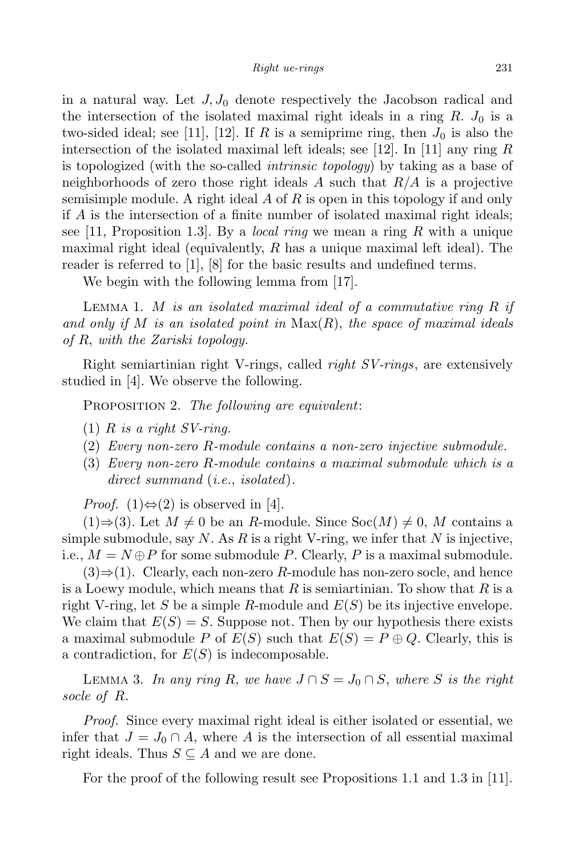in a natural way. Let  $J, J_0$  denote respectively the Jacobson radical and the intersection of the isolated maximal right ideals in a ring  $R$ .  $J_0$  is a two-sided ideal; see [11], [12]. If *R* is a semiprime ring, then  $J_0$  is also the intersection of the isolated maximal left ideals; see [12]. In [11] any ring *R* is topologized (with the so-called *intrinsic topology*) by taking as a base of neighborhoods of zero those right ideals *A* such that *R/A* is a projective semisimple module. A right ideal *A* of *R* is open in this topology if and only if *A* is the intersection of a finite number of isolated maximal right ideals; see [11, Proposition 1.3]. By a *local ring* we mean a ring *R* with a unique maximal right ideal (equivalently, *R* has a unique maximal left ideal). The reader is referred to [1], [8] for the basic results and undefined terms.

We begin with the following lemma from [17].

Lemma 1. *M is an isolated maximal ideal of a commutative ring R if and only if M is an isolated point in* Max(*R*), *the space of maximal ideals of R*, *with the Zariski topology.*

Right semiartinian right V-rings, called *right SV-rings*, are extensively studied in [4]. We observe the following.

Proposition 2. *The following are equivalent*:

- $(1)$  *R is a right SV-ring.*
- (2) *Every non-zero R-module contains a non-zero injective submodule.*
- (3) *Every non-zero R-module contains a maximal submodule which is a direct summand* (*i.e.*, *isolated*)*.*

*Proof.* (1)⇔(2) is observed in [4].

 $(1)$ ⇒ $(3)$ . Let  $M \neq 0$  be an *R*-module. Since Soc $(M) \neq 0$ , *M* contains a simple submodule, say *N*. As *R* is a right V-ring, we infer that *N* is injective, i.e.,  $M = N \oplus P$  for some submodule *P*. Clearly, *P* is a maximal submodule.

(3)*⇒*(1). Clearly, each non-zero *R*-module has non-zero socle, and hence is a Loewy module, which means that *R* is semiartinian. To show that *R* is a right V-ring, let *S* be a simple *R*-module and *E*(*S*) be its injective envelope. We claim that  $E(S) = S$ . Suppose not. Then by our hypothesis there exists a maximal submodule *P* of  $E(S)$  such that  $E(S) = P \oplus Q$ . Clearly, this is a contradiction, for *E*(*S*) is indecomposable.

Lemma 3. *In any ring R*, *we have J ∩ S* = *J*<sup>0</sup> *∩ S*, *where S is the right socle of R.*

*Proof.* Since every maximal right ideal is either isolated or essential, we infer that  $J = J_0 \cap A$ , where A is the intersection of all essential maximal right ideals. Thus  $S \subseteq A$  and we are done.

For the proof of the following result see Propositions 1.1 and 1.3 in [11].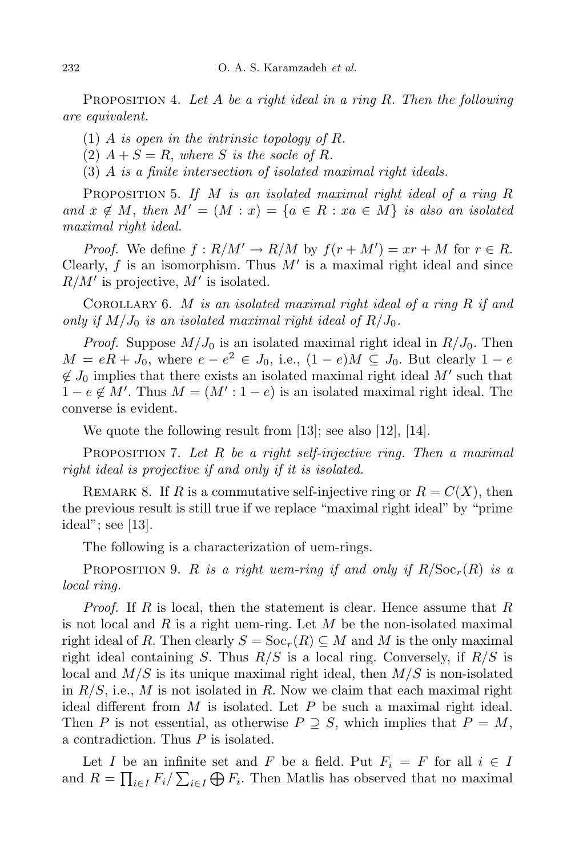Proposition 4. *Let A be a right ideal in a ring R. Then the following are equivalent.*

- (1) *A is open in the intrinsic topology of R.*
- $(2)$   $A + S = R$ , where *S* is the socle of *R*.
- (3) *A is a finite intersection of isolated maximal right ideals.*

Proposition 5. *If M is an isolated maximal right ideal of a ring R and*  $x \notin M$ , *then*  $M' = (M : x) = \{a \in R : xa \in M\}$  *is also an isolated maximal right ideal.*

*Proof.* We define  $f: R/M' \to R/M$  by  $f(r + M') = xr + M$  for  $r \in R$ . Clearly,  $f$  is an isomorphism. Thus  $M'$  is a maximal right ideal and since  $R/M'$  is projective,  $M'$  is isolated.

Corollary 6. *M is an isolated maximal right ideal of a ring R if and only if*  $M/J_0$  *is an isolated maximal right ideal of*  $R/J_0$ *.* 

*Proof.* Suppose  $M/J_0$  is an isolated maximal right ideal in  $R/J_0$ . Then  $M = eR + J_0$ , where  $e - e^2 \in J_0$ , i.e.,  $(1 - e)M \subseteq J_0$ . But clearly  $1 - e$  $\notin J_0$  implies that there exists an isolated maximal right ideal *M<sup><i>i*</sup> such that  $1 - e \notin M'$ . Thus  $M = (M' : 1 - e)$  is an isolated maximal right ideal. The converse is evident.

We quote the following result from [13]; see also [12], [14].

Proposition 7. *Let R be a right self-injective ring. Then a maximal right ideal is projective if and only if it is isolated.*

REMARK 8. If *R* is a commutative self-injective ring or  $R = C(X)$ , then the previous result is still true if we replace "maximal right ideal" by "prime ideal"; see [13].

The following is a characterization of uem-rings.

**PROPOSITION 9.** *R is a right uem-ring if* and only *if*  $R/\text{Soc}_r(R)$  *is a local ring.*

*Proof.* If *R* is local, then the statement is clear. Hence assume that *R* is not local and *R* is a right uem-ring. Let *M* be the non-isolated maximal right ideal of *R*. Then clearly  $S = Soc_r(R) \subseteq M$  and M is the only maximal right ideal containing *S*. Thus *R/S* is a local ring. Conversely, if *R/S* is local and *M/S* is its unique maximal right ideal, then *M/S* is non-isolated in  $R/S$ , i.e., M is not isolated in R. Now we claim that each maximal right ideal different from *M* is isolated. Let *P* be such a maximal right ideal. Then *P* is not essential, as otherwise  $P \supseteq S$ , which implies that  $P = M$ , a contradiction. Thus *P* is isolated.

Let *I* be an infinite set and *F* be a field. Put  $F_i = F$  for all  $i \in I$ and  $R = \prod_{i \in I} F_i / \sum_{i \in I} \bigoplus F_i$ . Then Matlis has observed that no maximal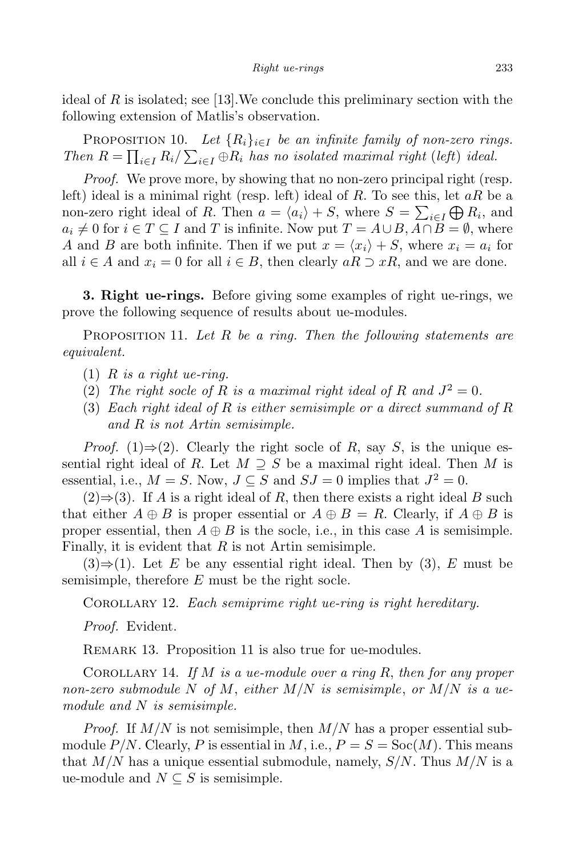ideal of *R* is isolated; see [13].We conclude this preliminary section with the following extension of Matlis's observation.

PROPOSITION 10. Let  ${R_i}_{i \in I}$  be an *infinite family of non-zero rings. Then*  $R = \prod_{i \in I} R_i / \sum_{i \in I} \bigoplus R_i$  *has no isolated maximal right* (*left*) *ideal.* 

*Proof.* We prove more, by showing that no non-zero principal right (resp. left) ideal is a minimal right (resp. left) ideal of *R*. To see this, let *aR* be a non-zero right ideal of *R*. Then  $a = \langle a_i \rangle + S$ , where  $S = \sum_{i \in I} \bigoplus_i R_i$ , and *a*<sub>*i*</sub>  $\neq$  0 for *i*  $\in$  *T*  $\subseteq$  *I* and *T* is infinite. Now put *T* = *A∪B,A∩B* = *Ø*, where *A* and *B* are both infinite. Then if we put  $x = \langle x_i \rangle + S$ , where  $x_i = a_i$  for all *i* ∈ *A* and  $x_i = 0$  for all *i* ∈ *B*, then clearly  $aR \supset xR$ , and we are done.

**3. Right ue-rings.** Before giving some examples of right ue-rings, we prove the following sequence of results about ue-modules.

Proposition 11. *Let R be a ring. Then the following statements are equivalent.*

- $(1)$  *R is a right ue-ring.*
- (2) *The right socle of*  $R$  *is a maximal right ideal of*  $R$  *and*  $J^2 = 0$ *.*
- (3) *Each right ideal of R is either semisimple or a direct summand of R and R is not Artin semisimple.*

*Proof.* (1) $\Rightarrow$ (2). Clearly the right socle of *R*, say *S*, is the unique essential right ideal of *R*. Let  $M \supseteq S$  be a maximal right ideal. Then *M* is essential, i.e.,  $M = S$ . Now,  $J \subseteq S$  and  $SJ = 0$  implies that  $J^2 = 0$ .

(2)*⇒*(3). If *A* is a right ideal of *R*, then there exists a right ideal *B* such that either  $A \oplus B$  is proper essential or  $A \oplus B = R$ . Clearly, if  $A \oplus B$  is proper essential, then  $A \oplus B$  is the socle, i.e., in this case A is semisimple. Finally, it is evident that *R* is not Artin semisimple.

(3)*⇒*(1). Let *E* be any essential right ideal. Then by (3), *E* must be semisimple, therefore *E* must be the right socle.

Corollary 12. *Each semiprime right ue-ring is right hereditary.*

*Proof.* Evident.

REMARK 13. Proposition 11 is also true for ue-modules.

Corollary 14. *If M is a ue-module over a ring R*, *then for any proper non-zero submodule N of M*, *either M/N is semisimple*, *or M/N is a uemodule and N is semisimple.*

*Proof.* If *M/N* is not semisimple, then *M/N* has a proper essential submodule  $P/N$ . Clearly, P is essential in M, i.e.,  $P = S = \text{Soc}(M)$ . This means that *M/N* has a unique essential submodule, namely, *S/N*. Thus *M/N* is a ue-module and  $N \subseteq S$  is semisimple.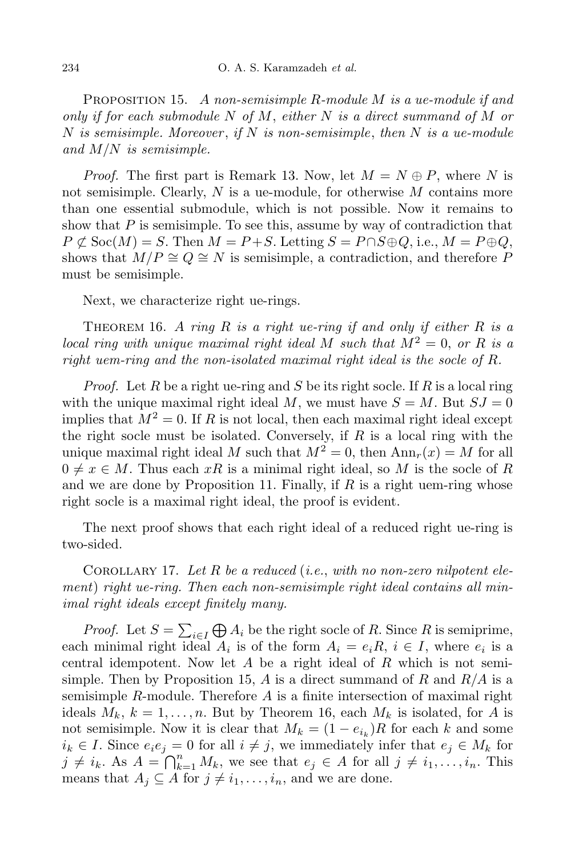Proposition 15. *A non-semisimple R-module M is a ue-module if and only if for each submodule N of M*, *either N is a direct summand of M or N is semisimple. Moreover* , *if N is non-semisimple*, *then N is a ue-module and M/N is semisimple.*

*Proof.* The first part is Remark 13. Now, let  $M = N \oplus P$ , where N is not semisimple. Clearly, *N* is a ue-module, for otherwise *M* contains more than one essential submodule, which is not possible. Now it remains to show that *P* is semisimple. To see this, assume by way of contradiction that  $P \not\subset \text{Soc}(M) = S$ . Then  $M = P + S$ . Letting  $S = P \cap S \oplus Q$ , i.e.,  $M = P \oplus Q$ , shows that  $M/P \cong Q \cong N$  is semisimple, a contradiction, and therefore P must be semisimple.

Next, we characterize right ue-rings.

THEOREM 16. A ring  $R$  is a right *ue-ring* if and only if either  $R$  is a *local ring with unique maximal right ideal M such that*  $M^2 = 0$ , *or R is a right uem-ring and the non-isolated maximal right ideal is the socle of R.*

*Proof.* Let *R* be a right ue-ring and *S* be its right socle. If *R* is a local ring with the unique maximal right ideal  $M$ , we must have  $S = M$ . But  $SJ = 0$ implies that  $M^2 = 0$ . If *R* is not local, then each maximal right ideal except the right socle must be isolated. Conversely, if *R* is a local ring with the unique maximal right ideal *M* such that  $M^2 = 0$ , then  $Ann_r(x) = M$  for all  $0 \neq x \in M$ . Thus each  $xR$  is a minimal right ideal, so M is the socle of R and we are done by Proposition 11. Finally, if *R* is a right uem-ring whose right socle is a maximal right ideal, the proof is evident.

The next proof shows that each right ideal of a reduced right ue-ring is two-sided.

Corollary 17. *Let R be a reduced* (*i.e.*, *with no non-zero nilpotent element*) *right ue-ring. Then each non-semisimple right ideal contains all minimal right ideals except finitely many.*

*Proof.* Let  $S = \sum_{i \in I} \bigoplus A_i$  be the right socle of *R*. Since *R* is semiprime, if *icoj*. Let  $D - \sum_{i \in I} \bigoplus_i A_i$  be the right socie of *Ii*. Since *Ii* is semiprime, each minimal right ideal  $A_i$  is of the form  $A_i = e_i R$ ,  $i \in I$ , where  $e_i$  is a central idempotent. Now let *A* be a right ideal of *R* which is not semisimple. Then by Proposition 15, *A* is a direct summand of *R* and *R/A* is a semisimple *R*-module. Therefore *A* is a finite intersection of maximal right ideals  $M_k$ ,  $k = 1, \ldots, n$ . But by Theorem 16, each  $M_k$  is isolated, for *A* is not semisimple. Now it is clear that  $M_k = (1 - e_{i_k})R$  for each *k* and some  $i_k \in I$ . Since  $e_i e_j = 0$  for all  $i \neq j$ , we immediately infer that  $e_j \in M_k$  for  $j \neq i_k$ . As  $A = \bigcap_{k=1}^n M_k$ , we see that  $e_j \in A$  for all  $j \neq i_1, \ldots, i_n$ . This means that  $A_j \subseteq A$  for  $j \neq i_1, \ldots, i_n$ , and we are done.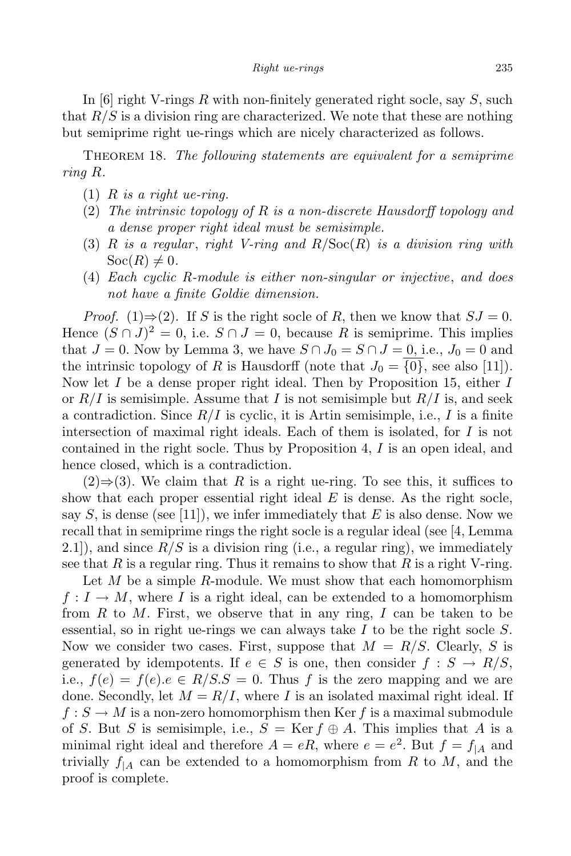In [6] right V-rings *R* with non-finitely generated right socle, say *S*, such that *R/S* is a division ring are characterized. We note that these are nothing but semiprime right ue-rings which are nicely characterized as follows.

Theorem 18. *The following statements are equivalent for a semiprime ring R.*

- $(1)$  *R is a right ue-ring.*
- (2) *The intrinsic topology of R is a non-discrete Hausdorff topology and a dense proper right ideal must be semisimple.*
- (3) *R is a regular* , *right V-ring and R/*Soc(*R*) *is a division ring with*  $Soc(R) \neq 0$ *.*
- (4) *Each cyclic R-module is either non-singular or injective*, *and does not have a finite Goldie dimension.*

*Proof.* (1) $\Rightarrow$  (2). If *S* is the right socle of *R*, then we know that *SJ* = 0. Hence  $(S \cap J)^2 = 0$ , i.e.  $S \cap J = 0$ , because R is semiprime. This implies that  $J = 0$ . Now by Lemma 3, we have  $S \cap J_0 = S \cap J = 0$ , i.e.,  $J_0 = 0$  and the intrinsic topology of *R* is Hausdorff (note that  $J_0 = \{0\}$ , see also [11]). Now let *I* be a dense proper right ideal. Then by Proposition 15, either *I* or  $R/I$  is semisimple. Assume that *I* is not semisimple but  $R/I$  is, and seek a contradiction. Since  $R/I$  is cyclic, it is Artin semisimple, i.e., I is a finite intersection of maximal right ideals. Each of them is isolated, for *I* is not contained in the right socle. Thus by Proposition 4, *I* is an open ideal, and hence closed, which is a contradiction.

 $(2)$  ⇒ (3). We claim that *R* is a right ue-ring. To see this, it suffices to show that each proper essential right ideal *E* is dense. As the right socle, say  $S$ , is dense (see [11]), we infer immediately that  $E$  is also dense. Now we recall that in semiprime rings the right socle is a regular ideal (see [4, Lemma 2.1]), and since  $R/S$  is a division ring (i.e., a regular ring), we immediately see that  $R$  is a regular ring. Thus it remains to show that  $R$  is a right V-ring.

Let *M* be a simple *R*-module. We must show that each homomorphism  $f: I \to M$ , where *I* is a right ideal, can be extended to a homomorphism from *R* to *M*. First, we observe that in any ring, *I* can be taken to be essential, so in right ue-rings we can always take *I* to be the right socle *S*. Now we consider two cases. First, suppose that *M* = *R/S*. Clearly, *S* is generated by idempotents. If  $e \in S$  is one, then consider  $f : S \to R/S$ , i.e.,  $f(e) = f(e) \cdot e \in R/S.S = 0$ . Thus f is the zero mapping and we are done. Secondly, let  $M = R/I$ , where I is an isolated maximal right ideal. If  $f: S \to M$  is a non-zero homomorphism then Ker f is a maximal submodule of *S*. But *S* is semisimple, i.e.,  $S = \text{Ker } f \oplus A$ . This implies that *A* is a minimal right ideal and therefore  $A = eR$ , where  $e = e^2$ . But  $f = f_{|A}$  and trivially  $f_{A}$  can be extended to a homomorphism from R to M, and the proof is complete.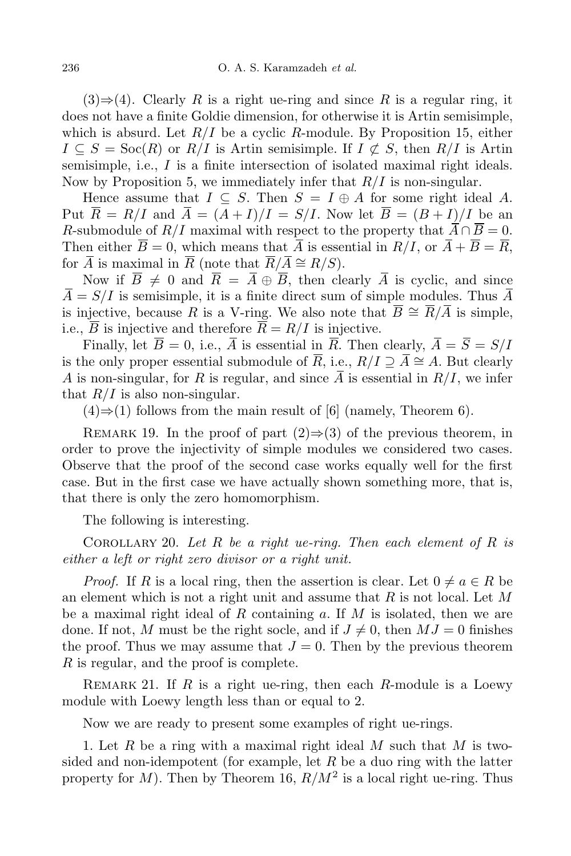$(3) \Rightarrow (4)$ . Clearly R is a right ue-ring and since R is a regular ring, it does not have a finite Goldie dimension, for otherwise it is Artin semisimple, which is absurd. Let *R/I* be a cyclic *R*-module. By Proposition 15, either  $I \subseteq S = \text{Soc}(R)$  or  $R/I$  is Artin semisimple. If  $I \not\subset S$ , then  $R/I$  is Artin semisimple, i.e., *I* is a finite intersection of isolated maximal right ideals. Now by Proposition 5, we immediately infer that *R/I* is non-singular.

Hence assume that  $I \subseteq S$ . Then  $S = I \oplus A$  for some right ideal A. Put  $\overline{R} = R/I$  and  $\overline{A} = (A + I)/I = S/I$ . Now let  $\overline{B} = (B + I)/I$  be an *R*-submodule of *R/I* maximal with respect to the property that  $\overline{A} \cap \overline{B} = 0$ . Then either  $\overline{B} = 0$ , which means that  $\overline{A}$  is essential in  $R/I$ , or  $\overline{A} + \overline{B} = \overline{R}$ , for  $\overline{A}$  is maximal in  $\overline{R}$  (note that  $\overline{R}/\overline{A} \cong R/S$ ).

Now if  $\overline{B} \neq 0$  and  $\overline{R} = \overline{A} \oplus \overline{B}$ , then clearly  $\overline{A}$  is cyclic, and since  $\overline{A} = S/I$  is semisimple, it is a finite direct sum of simple modules. Thus  $\overline{A}$ is injective, because *R* is a V-ring. We also note that  $\overline{B} \cong \overline{R}/\overline{A}$  is simple, i.e.,  $\overline{B}$  is injective and therefore  $\overline{R} = R/I$  is injective.

Finally, let  $\overline{B} = 0$ , i.e.,  $\overline{A}$  is essential in  $\overline{R}$ . Then clearly,  $\overline{A} = \overline{S} = S/I$ is the only proper essential submodule of  $\overline{R}$ , i.e.,  $R/I \supseteq \overline{A} \cong A$ . But clearly *A* is non-singular, for *R* is regular, and since  $\overline{A}$  is essential in  $R/I$ , we infer that  $R/I$  is also non-singular.

(4)*⇒*(1) follows from the main result of [6] (namely, Theorem 6).

REMARK 19. In the proof of part  $(2) \Rightarrow (3)$  of the previous theorem, in order to prove the injectivity of simple modules we considered two cases. Observe that the proof of the second case works equally well for the first case. But in the first case we have actually shown something more, that is, that there is only the zero homomorphism.

The following is interesting.

Corollary 20. *Let R be a right ue-ring. Then each element of R is either a left or right zero divisor or a right unit.*

*Proof.* If *R* is a local ring, then the assertion is clear. Let  $0 \neq a \in R$  be an element which is not a right unit and assume that *R* is not local. Let *M* be a maximal right ideal of *R* containing *a*. If *M* is isolated, then we are done. If not, M must be the right socle, and if  $J \neq 0$ , then  $MJ = 0$  finishes the proof. Thus we may assume that  $J = 0$ . Then by the previous theorem *R* is regular, and the proof is complete.

Remark 21. If *R* is a right ue-ring, then each *R*-module is a Loewy module with Loewy length less than or equal to 2.

Now we are ready to present some examples of right ue-rings.

1. Let *R* be a ring with a maximal right ideal *M* such that *M* is twosided and non-idempotent (for example, let *R* be a duo ring with the latter property for  $M$ ). Then by Theorem 16,  $R/M^2$  is a local right ue-ring. Thus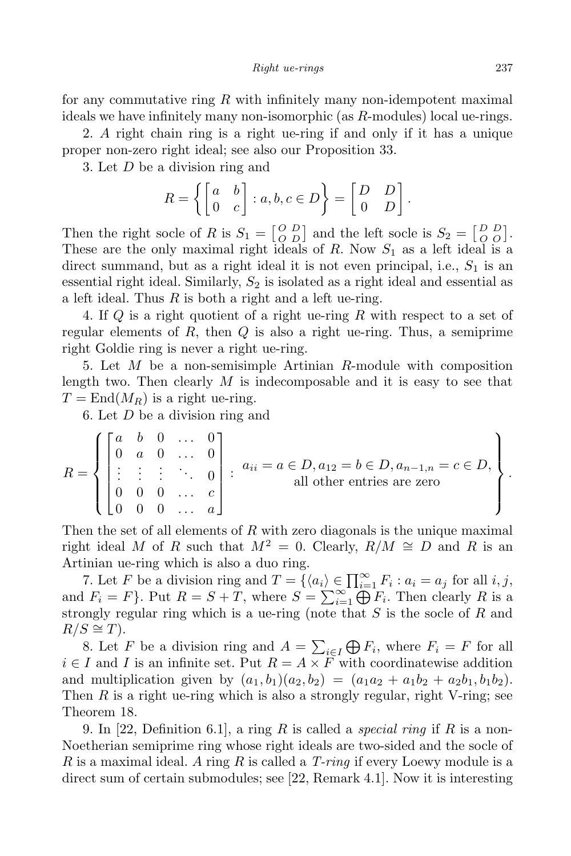for any commutative ring *R* with infinitely many non-idempotent maximal ideals we have infinitely many non-isomorphic (as *R*-modules) local ue-rings.

2. *A* right chain ring is a right ue-ring if and only if it has a unique proper non-zero right ideal; see also our Proposition 33.

3. Let *D* be a division ring and

$$
R = \left\{ \begin{bmatrix} a & b \\ 0 & c \end{bmatrix} : a, b, c \in D \right\} = \begin{bmatrix} D & D \\ 0 & D \end{bmatrix}.
$$

Then the right socle of *R* is  $S_1 = \begin{bmatrix} O & D \\ O & D \end{bmatrix}$  $\begin{bmatrix} O & D \\ O & O \end{bmatrix}$  and the left socle is  $S_2 = \begin{bmatrix} D & D \\ O & O \end{bmatrix}$  $\begin{bmatrix} D & D \\ O & O \end{bmatrix}$ . These are the only maximal right ideals of *R*. Now *S*<sup>1</sup> as a left ideal is a direct summand, but as a right ideal it is not even principal, i.e., *S*<sup>1</sup> is an essential right ideal. Similarly,  $S_2$  is isolated as a right ideal and essential as a left ideal. Thus *R* is both a right and a left ue-ring.

4. If *Q* is a right quotient of a right ue-ring *R* with respect to a set of regular elements of *R*, then *Q* is also a right ue-ring. Thus, a semiprime right Goldie ring is never a right ue-ring.

5. Let *M* be a non-semisimple Artinian *R*-module with composition length two. Then clearly *M* is indecomposable and it is easy to see that  $T = \text{End}(M_R)$  is a right ue-ring.

6. Let *D* be a division ring and

$$
R = \left\{ \begin{bmatrix} a & b & 0 & \dots & 0 \\ 0 & a & 0 & \dots & 0 \\ \vdots & \vdots & \vdots & \ddots & 0 \\ 0 & 0 & 0 & \dots & c \\ 0 & 0 & 0 & \dots & a \end{bmatrix} \right\}.
$$
  $a_{ii} = a \in D, a_{12} = b \in D, a_{n-1,n} = c \in D,$   
all other entries are zero

Then the set of all elements of *R* with zero diagonals is the unique maximal right ideal *M* of *R* such that  $M^2 = 0$ . Clearly,  $R/M \cong D$  and *R* is an Artinian ue-ring which is also a duo ring.

7. Let *F* be a division ring and  $T = \{(a_i) \in \prod_{i=1}^{\infty} F_i : a_i = a_j \text{ for all } i, j,$ and  $F_i = F$ }. Put  $R = S + T$ , where  $S = \sum_{i=1}^{\infty} \bigoplus F_i$ . Then clearly R is a strongly regular ring which is a ue-ring (note that *S* is the socle of *R* and  $R/S \cong T$ ).

8. Let *F* be a division ring and  $A = \sum_{i \in I} \bigoplus F_i$ , where  $F_i = F$  for all  $i \in I$  and *I* is an infinite set. Put  $R = A \times F$  with coordinatewise addition and multiplication given by  $(a_1, b_1)(a_2, b_2) = (a_1a_2 + a_1b_2 + a_2b_1, b_1b_2).$ Then *R* is a right ue-ring which is also a strongly regular, right V-ring; see Theorem 18.

9. In [22, Definition 6.1], a ring *R* is called a *special ring* if *R* is a non-Noetherian semiprime ring whose right ideals are two-sided and the socle of *R* is a maximal ideal. *A* ring *R* is called a *T-ring* if every Loewy module is a direct sum of certain submodules; see [22, Remark 4.1]. Now it is interesting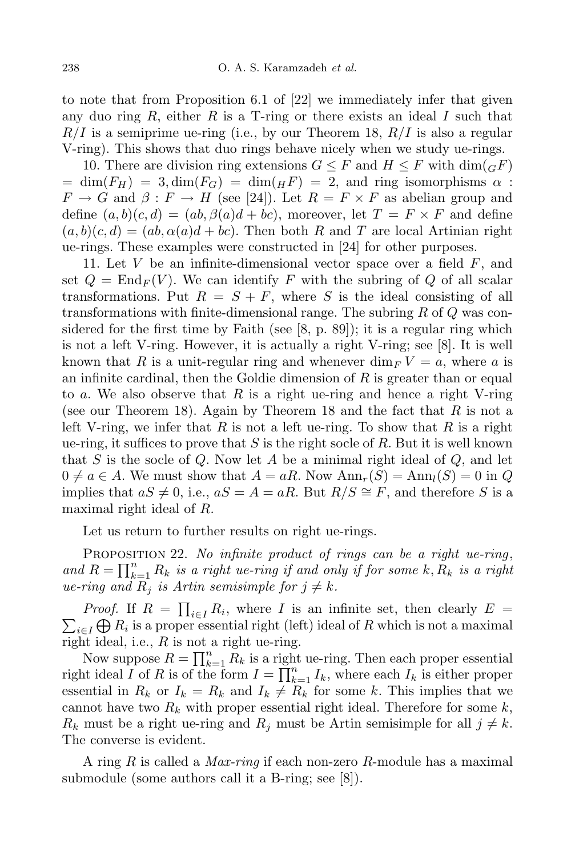to note that from Proposition 6.1 of [22] we immediately infer that given any duo ring *R*, either *R* is a T-ring or there exists an ideal *I* such that *R/I* is a semiprime ue-ring (i.e., by our Theorem 18, *R/I* is also a regular V-ring). This shows that duo rings behave nicely when we study ue-rings.

10. There are division ring extensions  $G \leq F$  and  $H \leq F$  with  $\dim({}_G F)$  $= \dim(F_H) = 3$ ,  $\dim(F_G) = \dim(H) = 2$ , and ring isomorphisms  $\alpha$ :  $F \to G$  and  $\beta : F \to H$  (see [24]). Let  $R = F \times F$  as abelian group and define  $(a, b)(c, d) = (ab, \beta(a)d + bc)$ , moreover, let  $T = F \times F$  and define  $(a, b)(c, d) = (ab, \alpha(a)d + bc)$ . Then both *R* and *T* are local Artinian right ue-rings. These examples were constructed in [24] for other purposes.

11. Let *V* be an infinite-dimensional vector space over a field *F*, and set  $Q = \text{End}_F(V)$ . We can identify F with the subring of Q of all scalar transformations. Put  $R = S + F$ , where *S* is the ideal consisting of all transformations with finite-dimensional range. The subring *R* of *Q* was considered for the first time by Faith (see  $[8, p. 89]$ ); it is a regular ring which is not a left V-ring. However, it is actually a right V-ring; see [8]. It is well known that R is a unit-regular ring and whenever  $\dim_F V = a$ , where a is an infinite cardinal, then the Goldie dimension of *R* is greater than or equal to *a*. We also observe that *R* is a right ue-ring and hence a right V-ring (see our Theorem 18). Again by Theorem 18 and the fact that *R* is not a left V-ring, we infer that *R* is not a left ue-ring. To show that *R* is a right ue-ring, it suffices to prove that *S* is the right socle of *R*. But it is well known that *S* is the socle of *Q*. Now let *A* be a minimal right ideal of *Q*, and let  $0 \neq a \in A$ . We must show that  $A = aR$ . Now  $Ann_r(S) = Ann_l(S) = 0$  in Q implies that  $aS \neq 0$ , i.e.,  $aS = A = aR$ . But  $R/S \cong F$ , and therefore *S* is a maximal right ideal of *R*.

Let us return to further results on right ue-rings.

Proposition 22. *No infinite product of rings can be a right ue-ring*, and  $R = \prod_{k=1}^{n} R_k$  is a right ue-ring if and only if for some k,  $R_k$  is a right *ue-ring* and  $R_i$  *is Artin semisimple for*  $j \neq k$ *.* 

*Proof.* If  $R = \prod_{i \in I} R_i$ , where *I* is an infinite set, then clearly  $E = \sum_{i \in I} \bigoplus R_i$  is a proper essential right (left) ideal of *R* which is not a maximal  $\mathcal{L}_{i\in I}\bigoplus R_{i}$  is a proper essential right (left) ideal of *R* which is not a maximal right ideal, i.e., *R* is not a right ue-ring.

Now suppose  $R = \prod_{k=1}^{n} R_k$  is a right ue-ring. Then each proper essential right ideal *I* of *R* is of the form  $I = \prod_{k=1}^{n} I_k$ , where each  $I_k$  is either proper essential in  $R_k$  or  $I_k = R_k$  and  $I_k \neq R_k$  for some k. This implies that we cannot have two *R<sup>k</sup>* with proper essential right ideal. Therefore for some *k*,  $R_k$  must be a right ue-ring and  $R_j$  must be Artin semisimple for all  $j \neq k$ . The converse is evident.

A ring *R* is called a *Max-ring* if each non-zero *R*-module has a maximal submodule (some authors call it a B-ring; see [8]).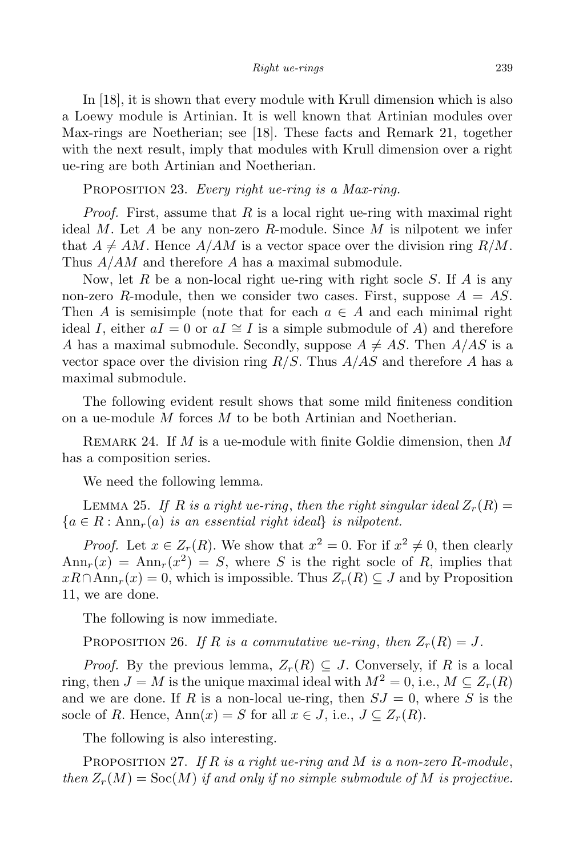In [18], it is shown that every module with Krull dimension which is also a Loewy module is Artinian. It is well known that Artinian modules over Max-rings are Noetherian; see [18]. These facts and Remark 21, together with the next result, imply that modules with Krull dimension over a right ue-ring are both Artinian and Noetherian.

Proposition 23. *Every right ue-ring is a Max-ring.*

*Proof.* First, assume that *R* is a local right ue-ring with maximal right ideal *M*. Let *A* be any non-zero *R*-module. Since *M* is nilpotent we infer that  $A \neq AM$ . Hence  $A/AM$  is a vector space over the division ring  $R/M$ . Thus *A/AM* and therefore *A* has a maximal submodule.

Now, let *R* be a non-local right ue-ring with right socle *S*. If *A* is any non-zero *R*-module, then we consider two cases. First, suppose  $A = AS$ . Then *A* is semisimple (note that for each  $a \in A$  and each minimal right ideal *I*, either  $aI = 0$  or  $aI \cong I$  is a simple submodule of *A*) and therefore *A* has a maximal submodule. Secondly, suppose  $A \neq AS$ . Then  $A/AS$  is a vector space over the division ring *R/S*. Thus *A/AS* and therefore *A* has a maximal submodule.

The following evident result shows that some mild finiteness condition on a ue-module *M* forces *M* to be both Artinian and Noetherian.

Remark 24. If *M* is a ue-module with finite Goldie dimension, then *M* has a composition series.

We need the following lemma.

LEMMA 25. If *R* is a right ue-ring, then the right singular ideal  $Z_r(R)$  =  ${a \in R : Ann_r(a) \text{ is an essential right ideal}}$  *is nilpotent.* 

*Proof.* Let  $x \in Z_r(R)$ . We show that  $x^2 = 0$ . For if  $x^2 \neq 0$ , then clearly  $\text{Ann}_r(x) = \text{Ann}_r(x^2) = S$ , where *S* is the right socle of *R*, implies that *xR*∩Ann<sub>*r*</sub>(*x*) = 0, which is impossible. Thus  $Z_r(R)$  ⊆ *J* and by Proposition 11, we are done.

The following is now immediate.

PROPOSITION 26. *If R is a commutative ue-ring*, *then*  $Z_r(R) = J$ .

*Proof.* By the previous lemma,  $Z_r(R) \subseteq J$ . Conversely, if R is a local ring, then  $J = M$  is the unique maximal ideal with  $M^2 = 0$ , i.e.,  $M \subseteq Z_r(R)$ and we are done. If *R* is a non-local ue-ring, then  $SJ = 0$ , where *S* is the socle of *R*. Hence,  $\text{Ann}(x) = S$  for all  $x \in J$ , i.e.,  $J \subseteq Z_r(R)$ .

The following is also interesting.

Proposition 27. *If R is a right ue-ring and M is a non-zero R-module*, *then*  $Z_r(M) = \text{Soc}(M)$  *if* and only *if* no *simple submodule* of M *is* projective.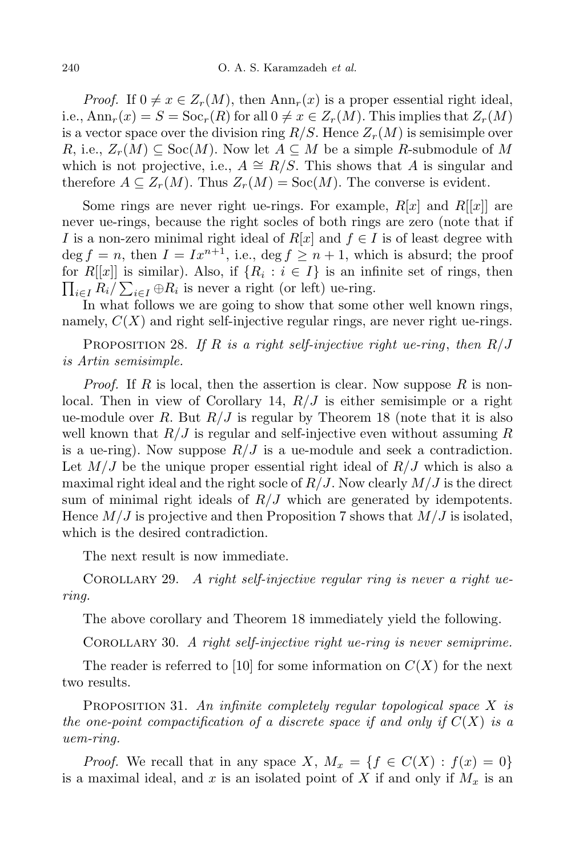*Proof.* If  $0 \neq x \in Z_r(M)$ , then  $Ann_r(x)$  is a proper essential right ideal, i.e.,  $\text{Ann}_r(x) = S = \text{Soc}_r(R)$  for all  $0 \neq x \in Z_r(M)$ . This implies that  $Z_r(M)$ is a vector space over the division ring *R/S*. Hence *Zr*(*M*) is semisimple over *R*, i.e.,  $Z_r(M) \subseteq \text{Soc}(M)$ . Now let  $A \subseteq M$  be a simple *R*-submodule of M which is not projective, i.e.,  $A \cong R/S$ . This shows that *A* is singular and therefore  $A \subseteq Z_r(M)$ . Thus  $Z_r(M) = \text{Soc}(M)$ . The converse is evident.

Some rings are never right ue-rings. For example,  $R[x]$  and  $R[[x]]$  are never ue-rings, because the right socles of both rings are zero (note that if *I* is a non-zero minimal right ideal of  $R[x]$  and  $f \in I$  is of least degree with  $\deg f = n$ , then  $I = Ix^{n+1}$ , i.e.,  $\deg f \geq n+1$ , which is absurd; the proof for  $R[[x]]$  is similar). Also, if  $\{R_i : i \in I\}$  is an infinite set of rings, then  $\prod_{i \in I} R_i / \sum_{i \in I} \oplus R_i$  is never a right (or left) ue-ring.

In what follows we are going to show that some other well known rings, namely,  $C(X)$  and right self-injective regular rings, are never right ue-rings.

Proposition 28. *If R is a right self-injective right ue-ring*, *then R/J is Artin semisimple.*

*Proof.* If *R* is local, then the assertion is clear. Now suppose *R* is nonlocal. Then in view of Corollary 14, *R/J* is either semisimple or a right ue-module over  $R$ . But  $R/J$  is regular by Theorem 18 (note that it is also well known that *R/J* is regular and self-injective even without assuming *R* is a ue-ring). Now suppose  $R/J$  is a ue-module and seek a contradiction. Let  $M/J$  be the unique proper essential right ideal of  $R/J$  which is also a maximal right ideal and the right socle of  $R/J$ . Now clearly  $M/J$  is the direct sum of minimal right ideals of  $R/J$  which are generated by idempotents. Hence *M/J* is projective and then Proposition 7 shows that *M/J* is isolated, which is the desired contradiction.

The next result is now immediate.

Corollary 29. *A right self-injective regular ring is never a right uering.*

The above corollary and Theorem 18 immediately yield the following.

Corollary 30. *A right self-injective right ue-ring is never semiprime.*

The reader is referred to [10] for some information on  $C(X)$  for the next two results.

Proposition 31. *An infinite completely regular topological space X is the one-point compactification of a discrete space if and only if C*(*X*) *is a uem-ring.*

*Proof.* We recall that in any space *X*,  $M_x = \{f \in C(X) : f(x) = 0\}$ is a maximal ideal, and *x* is an isolated point of *X* if and only if *M<sup>x</sup>* is an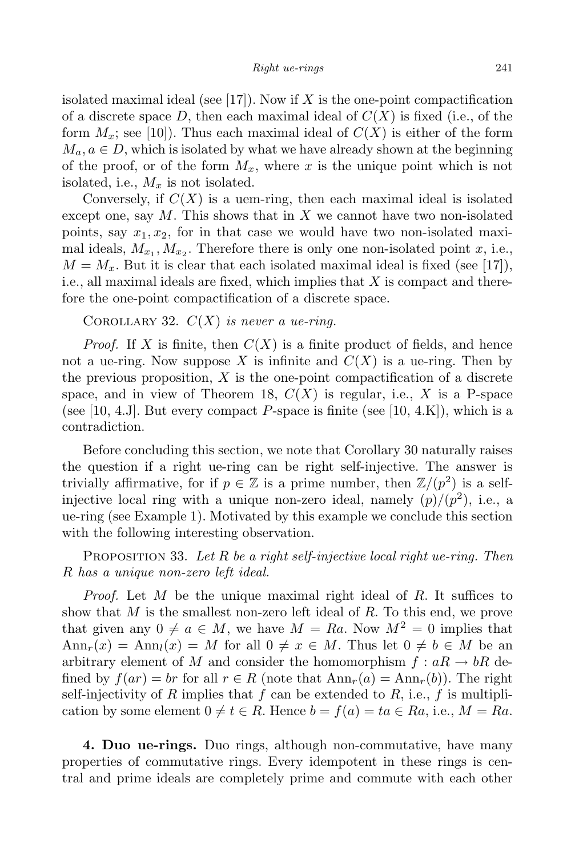isolated maximal ideal (see [17]). Now if *X* is the one-point compactification of a discrete space  $D$ , then each maximal ideal of  $C(X)$  is fixed (i.e., of the form  $M_x$ ; see [10]). Thus each maximal ideal of  $C(X)$  is either of the form  $M_a, a \in D$ , which is isolated by what we have already shown at the beginning of the proof, or of the form  $M_x$ , where x is the unique point which is not isolated, i.e., *M<sup>x</sup>* is not isolated.

Conversely, if  $C(X)$  is a uem-ring, then each maximal ideal is isolated except one, say *M*. This shows that in *X* we cannot have two non-isolated points, say  $x_1, x_2$ , for in that case we would have two non-isolated maximal ideals,  $M_{x_1}, M_{x_2}$ . Therefore there is only one non-isolated point *x*, i.e.,  $M = M_x$ . But it is clear that each isolated maximal ideal is fixed (see [17]), i.e., all maximal ideals are fixed, which implies that *X* is compact and therefore the one-point compactification of a discrete space.

COROLLARY 32.  $C(X)$  *is never a ue-ring.* 

*Proof.* If *X* is finite, then  $C(X)$  is a finite product of fields, and hence not a ue-ring. Now suppose X is infinite and  $C(X)$  is a ue-ring. Then by the previous proposition, *X* is the one-point compactification of a discrete space, and in view of Theorem 18,  $C(X)$  is regular, i.e., X is a P-space (see [10, 4.J]. But every compact  $P$ -space is finite (see [10, 4.K]), which is a contradiction.

Before concluding this section, we note that Corollary 30 naturally raises the question if a right ue-ring can be right self-injective. The answer is trivially affirmative, for if  $p \in \mathbb{Z}$  is a prime number, then  $\mathbb{Z}/(p^2)$  is a selfinjective local ring with a unique non-zero ideal, namely  $(p)/(p^2)$ , i.e., a ue-ring (see Example 1). Motivated by this example we conclude this section with the following interesting observation.

Proposition 33. *Let R be a right self-injective local right ue-ring. Then R has a unique non-zero left ideal.*

*Proof.* Let *M* be the unique maximal right ideal of *R*. It suffices to show that *M* is the smallest non-zero left ideal of *R*. To this end, we prove that given any  $0 \neq a \in M$ , we have  $M = Ra$ . Now  $M^2 = 0$  implies that  $\text{Ann}_r(x) = \text{Ann}_l(x) = M$  for all  $0 \neq x \in M$ . Thus let  $0 \neq b \in M$  be an arbitrary element of *M* and consider the homomorphism  $f : aR \to bR$  defined by  $f(ar) = br$  for all  $r \in R$  (note that  $Ann_r(a) = Ann_r(b))$ ). The right self-injectivity of  $R$  implies that  $f$  can be extended to  $R$ , i.e.,  $f$  is multiplication by some element  $0 \neq t \in R$ . Hence  $b = f(a) = ta \in Ra$ , i.e.,  $M = Ra$ .

**4. Duo ue-rings.** Duo rings, although non-commutative, have many properties of commutative rings. Every idempotent in these rings is central and prime ideals are completely prime and commute with each other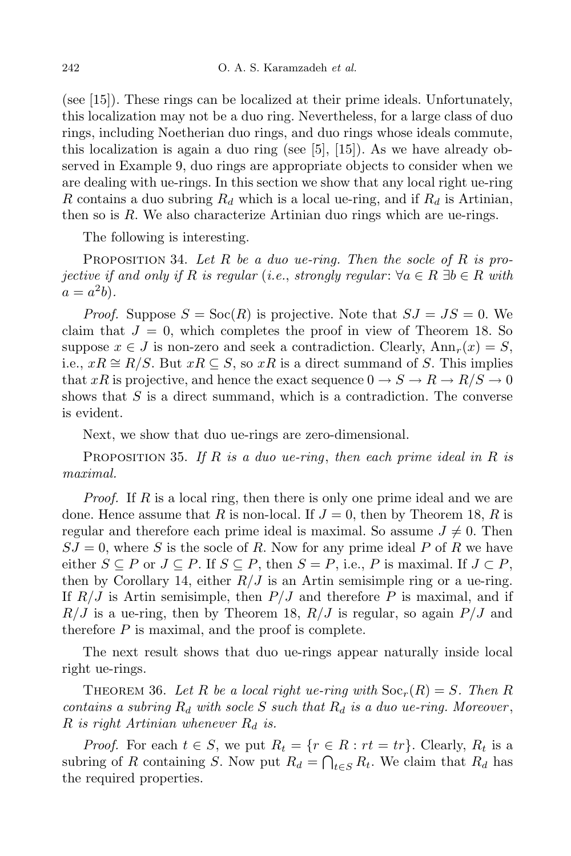(see [15]). These rings can be localized at their prime ideals. Unfortunately, this localization may not be a duo ring. Nevertheless, for a large class of duo rings, including Noetherian duo rings, and duo rings whose ideals commute, this localization is again a duo ring (see  $[5]$ ,  $[15]$ ). As we have already observed in Example 9, duo rings are appropriate objects to consider when we are dealing with ue-rings. In this section we show that any local right ue-ring *R* contains a duo subring *R<sup>d</sup>* which is a local ue-ring, and if *R<sup>d</sup>* is Artinian, then so is *R*. We also characterize Artinian duo rings which are ue-rings.

The following is interesting.

Proposition 34. *Let R be a duo ue-ring. Then the socle of R is projective if* and only *if*  $R$  *is regular* (*i.e.*, *strongly regular*:  $∀a ∈ R ⊒ b ∈ R$  *with*  $a = a^2b$ .

*Proof.* Suppose  $S = \text{Soc}(R)$  is projective. Note that  $SJ = JS = 0$ . We claim that  $J = 0$ , which completes the proof in view of Theorem 18. So suppose  $x \in J$  is non-zero and seek a contradiction. Clearly,  $Ann_r(x) = S$ , i.e.,  $xR ≅ R/S$ . But  $xR ⊂ S$ , so  $xR$  is a direct summand of *S*. This implies that *xR* is projective, and hence the exact sequence  $0 \to S \to R \to R/S \to 0$ shows that *S* is a direct summand, which is a contradiction. The converse is evident.

Next, we show that duo ue-rings are zero-dimensional.

Proposition 35. *If R is a duo ue-ring*, *then each prime ideal in R is maximal.*

*Proof.* If *R* is a local ring, then there is only one prime ideal and we are done. Hence assume that *R* is non-local. If  $J = 0$ , then by Theorem 18, *R* is regular and therefore each prime ideal is maximal. So assume  $J \neq 0$ . Then  $SJ = 0$ , where *S* is the socle of *R*. Now for any prime ideal *P* of *R* we have either *S* ⊆ *P* or *J* ⊆ *P*. If *S* ⊆ *P*, then *S* = *P*, i.e., *P* is maximal. If *J* ⊂ *P*, then by Corollary 14, either  $R/J$  is an Artin semisimple ring or a ue-ring. If *R/J* is Artin semisimple, then *P/J* and therefore *P* is maximal, and if *R/J* is a ue-ring, then by Theorem 18, *R/J* is regular, so again *P/J* and therefore *P* is maximal, and the proof is complete.

The next result shows that duo ue-rings appear naturally inside local right ue-rings.

THEOREM 36. Let R be a local right ue-ring with  $Soc_r(R) = S$ . Then R *contains a subring R<sup>d</sup> with socle S such that R<sup>d</sup> is a duo ue-ring. Moreover* , *R is right Artinian whenever R<sup>d</sup> is.*

*Proof.* For each  $t \in S$ , we put  $R_t = \{r \in R : rt = tr\}$ . Clearly,  $R_t$  is a subring of *R* containing *S*. Now put  $R_d = \bigcap_{t \in S} R_t$ . We claim that  $R_d$  has the required properties.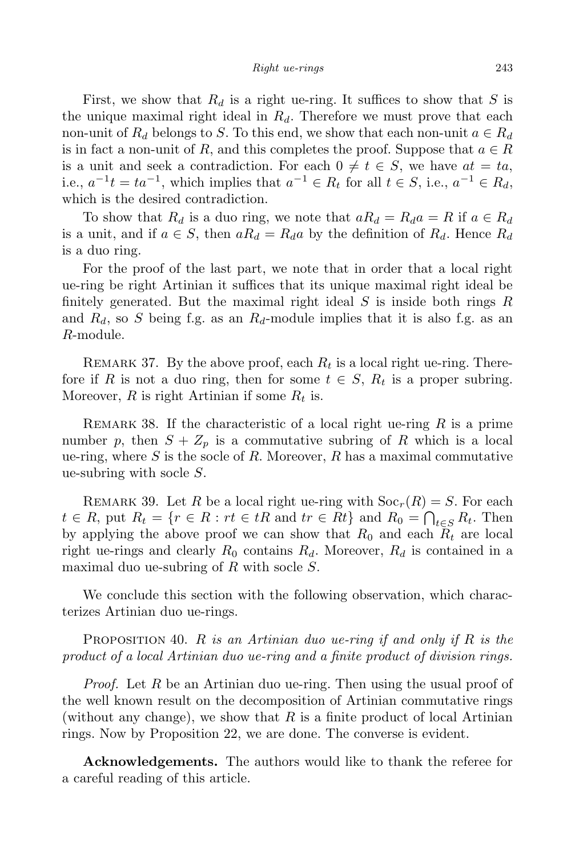First, we show that  $R_d$  is a right ue-ring. It suffices to show that *S* is the unique maximal right ideal in *Rd*. Therefore we must prove that each non-unit of  $R_d$  belongs to *S*. To this end, we show that each non-unit  $a \in R_d$ is in fact a non-unit of *R*, and this completes the proof. Suppose that  $a \in R$ is a unit and seek a contradiction. For each  $0 \neq t \in S$ , we have  $at = ta$ , *i.e.*,  $a^{-1}t = ta^{-1}$ , which implies that  $a^{-1} ∈ R_t$  for all  $t ∈ S$ , i.e.,  $a^{-1} ∈ R_d$ , which is the desired contradiction.

To show that  $R_d$  is a duo ring, we note that  $aR_d = R_d a = R$  if  $a \in R_d$ is a unit, and if  $a \in S$ , then  $aR_d = R_d a$  by the definition of  $R_d$ . Hence  $R_d$ is a duo ring.

For the proof of the last part, we note that in order that a local right ue-ring be right Artinian it suffices that its unique maximal right ideal be finitely generated. But the maximal right ideal *S* is inside both rings *R* and  $R_d$ , so *S* being f.g. as an  $R_d$ -module implies that it is also f.g. as an *R*-module.

REMARK 37. By the above proof, each  $R_t$  is a local right ue-ring. Therefore if *R* is not a duo ring, then for some  $t \in S$ ,  $R_t$  is a proper subring. Moreover, *R* is right Artinian if some *R<sup>t</sup>* is.

Remark 38. If the characteristic of a local right ue-ring *R* is a prime number p, then  $S + Z_p$  is a commutative subring of R which is a local ue-ring, where *S* is the socle of *R*. Moreover, *R* has a maximal commutative ue-subring with socle *S*.

REMARK 39. Let *R* be a local right ue-ring with  $Soc_r(R) = S$ . For each  $t \in R$ , put  $R_t = \{r \in R : rt \in tR \text{ and } tr \in Rt\}$  and  $R_0 = \bigcap_{t \in S} R_t$ . Then by applying the above proof we can show that  $R_0$  and each  $R_t$  are local right ue-rings and clearly  $R_0$  contains  $R_d$ . Moreover,  $R_d$  is contained in a maximal duo ue-subring of *R* with socle *S*.

We conclude this section with the following observation, which characterizes Artinian duo ue-rings.

Proposition 40. *R is an Artinian duo ue-ring if and only if R is the product of a local Artinian duo ue-ring and a finite product of division rings.*

*Proof.* Let *R* be an Artinian duo ue-ring. Then using the usual proof of the well known result on the decomposition of Artinian commutative rings (without any change), we show that *R* is a finite product of local Artinian rings. Now by Proposition 22, we are done. The converse is evident.

**Acknowledgements.** The authors would like to thank the referee for a careful reading of this article.